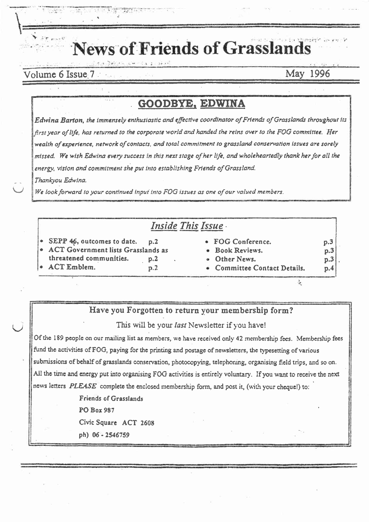Volume 6 Issue 7

May 1996

# GOODBYE, EDWINA

Edwina Barton, the immensely enthusiastic and effective coordinator of Friends of Grasslands throughout its first year of life, has returned to the corporate world and handed the reins over to the FOG committee. Her wealth of experience, network of contacts, and total commitment to grassland conservation issues are sorely missed. We wish Edwina every success in this next stage of her life, and wholeheartedly thank her for all the energy, vision and commitment she put into establishing Friends of Grassland.

Thankyou Edwina.

We look forward to your continued input into FOG issues as one of our valued members.

#### Inside This Issue • SEPP 46, outcomes to date. FOG Conference.  $p.2$  $p.3$ ACT Government lists Grasslands as **Book Reviews.**  $p.3$ threatened communities. Other News.  $p.2$  $p.3$ **ACT Emblem.** Committee Contact Details.  $p.2$  $p.4$ 妄

## Have you Forgotten to return your membership form?

This will be your last Newsletter if you have!

Of the 189 people on our mailing list as members, we have received only 42 membership fees. Membership fees fund the activities of FOG, paying for the printing and postage of newsletters, the typesetting of various submissions of behalf of grasslands conservation, photocopying, telephoning, organising field trips, and so on. All the time and energy put into organising FOG activities is entirely voluntary. If you want to receive the next news letters PLEASE complete the enclosed membership form, and post it, (with your cheque!) to:

> Friends of Grasslands **PO Box 987**

Civic Square ACT 2608

ph) 06 - 2546759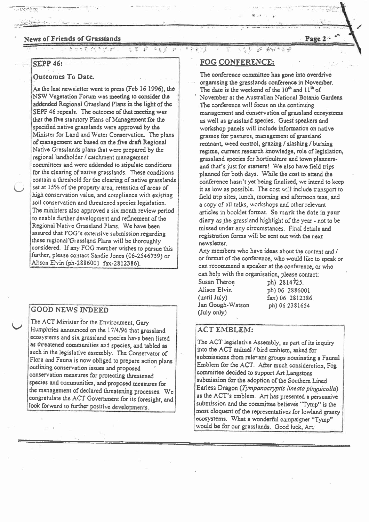#### ちら 姿 平本型 宅 t,  $\rightarrow$ ÷.

## **SEPP 46:**

#### Outcomes To Date.

As the last newsletter went to press (Feb 16 1996), the NSW Vegetation Forum was meeting to consider the addended Regional Grassland Plans in the light of the SEPP 46 repeals. The outcome of that meeting was that the five statutory Plans of Management for the specified native grasslands were approved by the Minister for Land and Water Conservation. The plans of management are based on the five draft Regional Native Grasslands plans that were prepared by the regional landholder / catchment management committees and were addended to stipulate conditions for the clearing of native grasslands. These conditions contain a threshold for the clearing of native grasslands set at 15% of the property area, retention of areas of high conservation value, and compliance with existing soil conservation and threatened species legislation. The ministers also approved a six month review period to enable further development and refinement of the Regional Native Grassland Plans. We have been assured that FOG's extensive submission regarding these regional Grassland Plans will be thoroughly considered. If any FOG member wishes to pursue this further, please contact Sandie Jones (06-2546759) or Alison Elvin (ph-2886001 fax-2812386).

## **GOOD NEWS INDEED**

The ACT Minister for the Environment, Gary Humphries announced on the 17/4/96 that grassland ecosystems and six grassland species have been listed as threatened communities and species, and tabled as such in the legislative assembly. The Conservator of Flora and Fauna is now obliged to prepare action plans outlining conservation issues and proposed conservation measures for protecting threatened species and communities, and proposed measures for the management of declared threatening processes. We congratulate the ACT Government for its foresight, and look forward to further positive developments.

## **FOG CONFERENCE:**

The conference committee has gone into overdrive organising the grasslands conference in November. The date is the weekend of the 10<sup>th</sup> and 11<sup>th</sup> of November at the Australian National Botanic Gardens. The conference will focus on the continuing management and conservation of grassland ecosystems as well as grassland species. Guest speakers and workshop panels will include information on native grasses for pastures, management of grassland remnant, weed control, grazing / slashing / burning regime, current research knowledge, role of legislation, grassland species for horticulture and town plannersand that's just for starters! We also have field trips planned for both days. While the cost to attend the conference hasn't yet being finalised, we intend to keep it as low as possible. The cost will include transport to field trip sites, lunch, morning and afternoon teas, and a copy of all talks, workshops and other relevant articles in booklet format. So mark the date in your diary as the grassland highlight of the year - not to be missed under any circumstances. Final details and registration forms will be sent out with the next newsletter.

Any members who have ideas about the content and / or format of the conference, who would like to speak or can recommend a speaker at the conference, or who can help with the organisation, please contact:

Susan Theron Alison Elvin (until July) Jan Gough-Watson (July only)

ph) 2814725. ph) 06 2886001 fax) 06 2812386. ph) 06 2381654

#### **ACT EMBLEM:**

The ACT legislative Assembly, as part of its inquiry into the ACT animal / bird emblem, asked for submissions from relevant groups nominating a Faunal Emblem for the ACT. After much consideration. Fog. committee decided to support Art Langstons submission for the adoption of the Southern Lined Earless Dragon (Tympanocryptis lineata pinguicolla) as the ACT's emblem. Art has presented a persuasive submission and the committee believes "Tymp" is the most eloquent of the representatives for lowland grassy ecosystems. What a wonderful campaigner "Tymp" would be for our grasslands. Good luck, Art.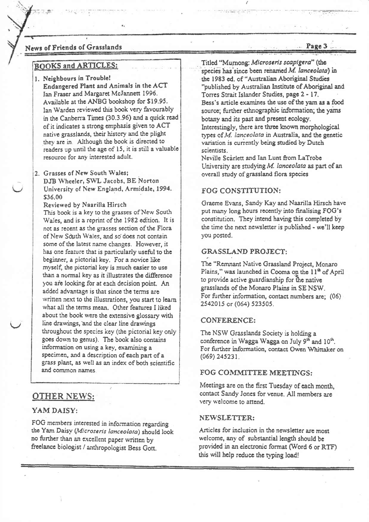## **BOOKS and ARTICLES:**

1. Neighbours in Trouble!

Endangered Plant and Animals in the ACT Jan Fraser and Margaret McJannett 1996. Available at the ANBG bookshop for \$19.95. Ian Warden reviewed this book very favourably in the Canberra Times (30.3.96) and a quick read of it indicates a strong emphasis given to ACT native grasslands, their history and the plight they are in. Although the book is directed to readers up until the age of 15, it is still a valuable resource for any interested adult.

#### 2. Grasses of New South Wales:

DJB Wheeler, SWL Jacobs, BE Norton University of New England, Armidale, 1994. \$36.00

Reviewed by Naarilla Hirsch

This book is a key to the grasses of New South Wales, and is a reprint of the 1982 edition. It is not as recent as the grasses section of the Flora of New South Wales, and so does not contain some of the latest name changes. However, it has one feature that is particularly useful to the beginner, a pictorial key. For a novice like myself, the pictorial key is much easier to use than a normal key as it illustrates the difference you are looking for at each decision point. An added advantage is that since the terms are written next to the illustrations, you start to learn what all the terms mean. Other features I liked about the book were the extensive glossary with line drawings, and the clear line drawings throughout the species key (the pictorial key only goes down to genus). The book also contains information on using a key, examining a specimen, and a description of each part of a grass plant, as well as an index of both scientific and common names

## **OTHER NEWS:**

### YAM DAISY:

FOG members interested in information regarding the Yam Daisy (Microseris lanceolata) should look no further than an excellent paper written by freelance biologist / anthropologist Bess Gott.

Titled "Murnong: Microseris scapigera" (the species has since been renamed M. lanceolata) in the 1983 ed. of "Australian Aboriginal Studies "published by Australian Institute of Aboriginal and Torres Strait Islander Studies, page 2 - 17. Bess's article examines the use of the yam as a food source; further ethnographic information; the yams botany and its past and present ecology. Interestingly, there are three known morphological types of M. lanceolata in Australia, and the genetic variation is currently being studied by Dutch scientists

Neville Scarlett and Ian Lunt from LaTrobe University are studying  $M$ . lanceolata as part of an overall study of grassland flora species

#### **FOG CONSTITUTION:**

Graeme Evans, Sandy Kay and Naarilla Hirsch have put many long hours recently into finalising FOG's constitution. They intend having this completed by the time the next newsletter is published - we'll keep you posted.

#### **GRASSLAND PROJECT:**

The "Remnant Native Grassland Project, Monaro Plains," was launched in Cooma on the 11<sup>th</sup> of April to provide active guardianship for the native grasslands of the Monaro Plains in SENSW. For further information, contact numbers are; (06) 2542015 or (064) 523505.

#### **CONFERENCE:**

The NSW Grasslands Society is holding a conference in Wagga Wagga on July 9<sup>th</sup> and 10<sup>th</sup>. For further information, contact Owen Whittaker on  $(069)$  245231.

#### FOG COMMITTEE MEETINGS:

Meetings are on the first Tuesday of each month. contact Sandy Jones for venue. All members are very welcome to attend.

#### NEWSLETTER:

Articles for inclusion in the newsletter are most welcome, any of substantial length should be provided in an electronic format (Word 6 or RTF) this will help reduce the typing load!